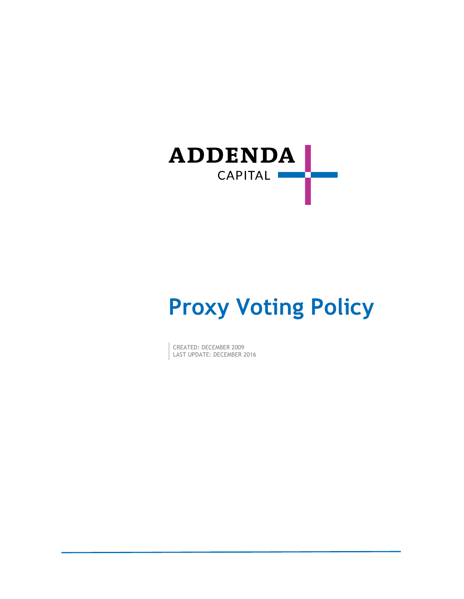

# **Proxy Voting Policy**

CREATED: DECEMBER 2009 LAST UPDATE: DECEMBER 2016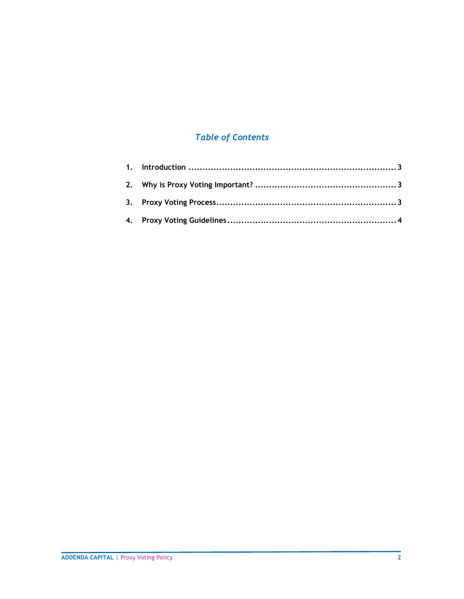# *Table of Contents*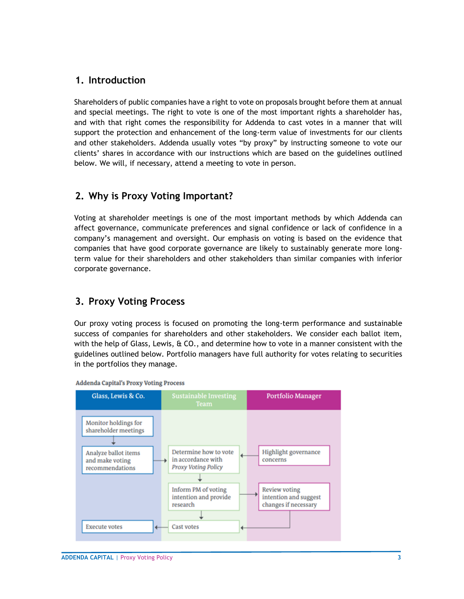# <span id="page-2-0"></span>**1. Introduction**

Shareholders of public companies have a right to vote on proposals brought before them at annual and special meetings. The right to vote is one of the most important rights a shareholder has, and with that right comes the responsibility for Addenda to cast votes in a manner that will support the protection and enhancement of the long-term value of investments for our clients and other stakeholders. Addenda usually votes "by proxy" by instructing someone to vote our clients' shares in accordance with our instructions which are based on the guidelines outlined below. We will, if necessary, attend a meeting to vote in person.

# <span id="page-2-1"></span>**2. Why is Proxy Voting Important?**

Voting at shareholder meetings is one of the most important methods by which Addenda can affect governance, communicate preferences and signal confidence or lack of confidence in a company's management and oversight. Our emphasis on voting is based on the evidence that companies that have good corporate governance are likely to sustainably generate more longterm value for their shareholders and other stakeholders than similar companies with inferior corporate governance.

# <span id="page-2-2"></span>**3. Proxy Voting Process**

Our proxy voting process is focused on promoting the long-term performance and sustainable success of companies for shareholders and other stakeholders. We consider each ballot item, with the help of Glass, Lewis,  $\&$  CO., and determine how to vote in a manner consistent with the guidelines outlined below. Portfolio managers have full authority for votes relating to securities in the portfolios they manage.



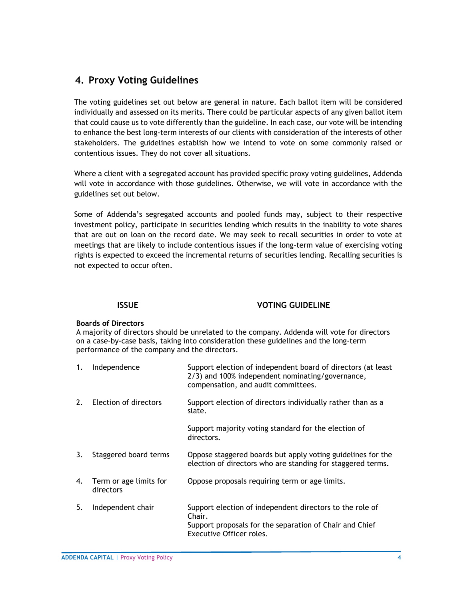# <span id="page-3-0"></span>**4. Proxy Voting Guidelines**

The voting guidelines set out below are general in nature. Each ballot item will be considered individually and assessed on its merits. There could be particular aspects of any given ballot item that could cause us to vote differently than the guideline. In each case, our vote will be intending to enhance the best long-term interests of our clients with consideration of the interests of other stakeholders. The guidelines establish how we intend to vote on some commonly raised or contentious issues. They do not cover all situations.

Where a client with a segregated account has provided specific proxy voting guidelines, Addenda will vote in accordance with those guidelines. Otherwise, we will vote in accordance with the guidelines set out below.

Some of Addenda's segregated accounts and pooled funds may, subject to their respective investment policy, participate in securities lending which results in the inability to vote shares that are out on loan on the record date. We may seek to recall securities in order to vote at meetings that are likely to include contentious issues if the long-term value of exercising voting rights is expected to exceed the incremental returns of securities lending. Recalling securities is not expected to occur often.

### **ISSUE VOTING GUIDELINE**

#### **Boards of Directors**

A majority of directors should be unrelated to the company. Addenda will vote for directors on a case-by-case basis, taking into consideration these guidelines and the long-term performance of the company and the directors.

| 1. | Independence                        | Support election of independent board of directors (at least<br>2/3) and 100% independent nominating/governance,<br>compensation, and audit committees.   |
|----|-------------------------------------|-----------------------------------------------------------------------------------------------------------------------------------------------------------|
| 2. | Election of directors               | Support election of directors individually rather than as a<br>slate.                                                                                     |
|    |                                     | Support majority voting standard for the election of<br>directors.                                                                                        |
| 3. | Staggered board terms               | Oppose staggered boards but apply voting guidelines for the<br>election of directors who are standing for staggered terms.                                |
| 4. | Term or age limits for<br>directors | Oppose proposals requiring term or age limits.                                                                                                            |
| 5. | Independent chair                   | Support election of independent directors to the role of<br>Chair.<br>Support proposals for the separation of Chair and Chief<br>Executive Officer roles. |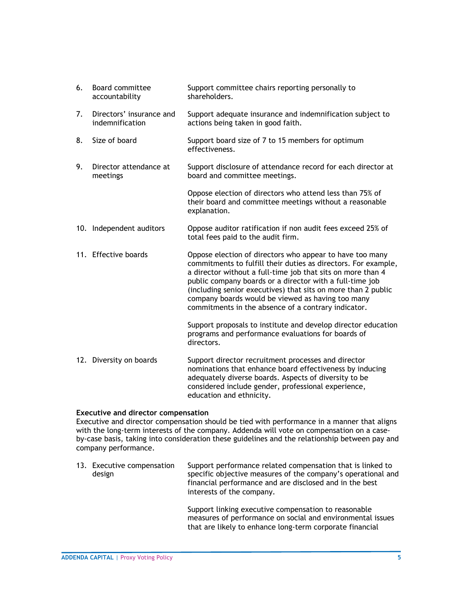| 6. | Board committee<br>accountability           | Support committee chairs reporting personally to<br>shareholders.                                                                                                                                                                                                                                                                                                                                                                  |
|----|---------------------------------------------|------------------------------------------------------------------------------------------------------------------------------------------------------------------------------------------------------------------------------------------------------------------------------------------------------------------------------------------------------------------------------------------------------------------------------------|
| 7. | Directors' insurance and<br>indemnification | Support adequate insurance and indemnification subject to<br>actions being taken in good faith.                                                                                                                                                                                                                                                                                                                                    |
| 8. | Size of board                               | Support board size of 7 to 15 members for optimum<br>effectiveness.                                                                                                                                                                                                                                                                                                                                                                |
| 9. | Director attendance at<br>meetings          | Support disclosure of attendance record for each director at<br>board and committee meetings.                                                                                                                                                                                                                                                                                                                                      |
|    |                                             | Oppose election of directors who attend less than 75% of<br>their board and committee meetings without a reasonable<br>explanation.                                                                                                                                                                                                                                                                                                |
|    | 10. Independent auditors                    | Oppose auditor ratification if non audit fees exceed 25% of<br>total fees paid to the audit firm.                                                                                                                                                                                                                                                                                                                                  |
|    | 11. Effective boards                        | Oppose election of directors who appear to have too many<br>commitments to fulfill their duties as directors. For example,<br>a director without a full-time job that sits on more than 4<br>public company boards or a director with a full-time job<br>(including senior executives) that sits on more than 2 public<br>company boards would be viewed as having too many<br>commitments in the absence of a contrary indicator. |
|    |                                             | Support proposals to institute and develop director education<br>programs and performance evaluations for boards of<br>directors.                                                                                                                                                                                                                                                                                                  |
|    | 12. Diversity on boards                     | Support director recruitment processes and director<br>nominations that enhance board effectiveness by inducing<br>adequately diverse boards. Aspects of diversity to be<br>considered include gender, professional experience,                                                                                                                                                                                                    |

#### **Executive and director compensation**

Executive and director compensation should be tied with performance in a manner that aligns with the long-term interests of the company. Addenda will vote on compensation on a caseby-case basis, taking into consideration these guidelines and the relationship between pay and company performance.

education and ethnicity.

| 13. Executive compensation<br>design | Support performance related compensation that is linked to<br>specific objective measures of the company's operational and<br>financial performance and are disclosed and in the best |
|--------------------------------------|---------------------------------------------------------------------------------------------------------------------------------------------------------------------------------------|
|                                      | interests of the company.                                                                                                                                                             |

Support linking executive compensation to reasonable measures of performance on social and environmental issues that are likely to enhance long-term corporate financial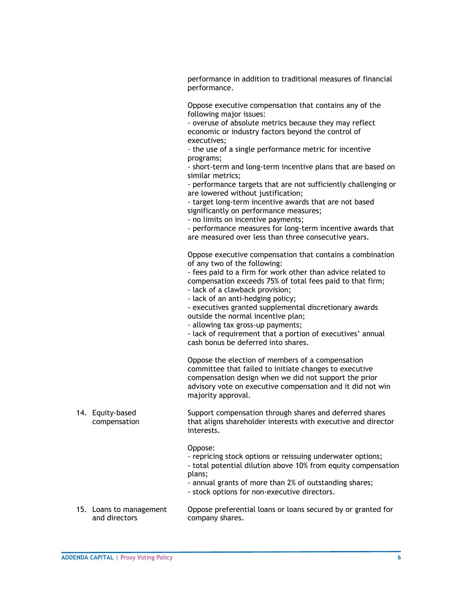performance in addition to traditional measures of financial performance.

Oppose executive compensation that contains any of the following major issues:

- overuse of absolute metrics because they may reflect economic or industry factors beyond the control of executives;

- the use of a single performance metric for incentive programs;

- short-term and long-term incentive plans that are based on similar metrics;

- performance targets that are not sufficiently challenging or are lowered without justification;

- target long-term incentive awards that are not based significantly on performance measures;

- no limits on incentive payments;

- performance measures for long-term incentive awards that are measured over less than three consecutive years.

Oppose executive compensation that contains a combination of any two of the following:

- fees paid to a firm for work other than advice related to compensation exceeds 75% of total fees paid to that firm;

- lack of a clawback provision;

- lack of an anti-hedging policy;

- executives granted supplemental discretionary awards outside the normal incentive plan;

- allowing tax gross-up payments;

- lack of requirement that a portion of executives' annual cash bonus be deferred into shares.

Oppose the election of members of a compensation committee that failed to initiate changes to executive compensation design when we did not support the prior advisory vote on executive compensation and it did not win majority approval.

14. Equity-based compensation Support compensation through shares and deferred shares that aligns shareholder interests with executive and director interests.

Oppose:

- repricing stock options or reissuing underwater options;

- total potential dilution above 10% from equity compensation plans;

- annual grants of more than 2% of outstanding shares;

- stock options for non-executive directors.
- 15. Loans to management and directors Oppose preferential loans or loans secured by or granted for company shares.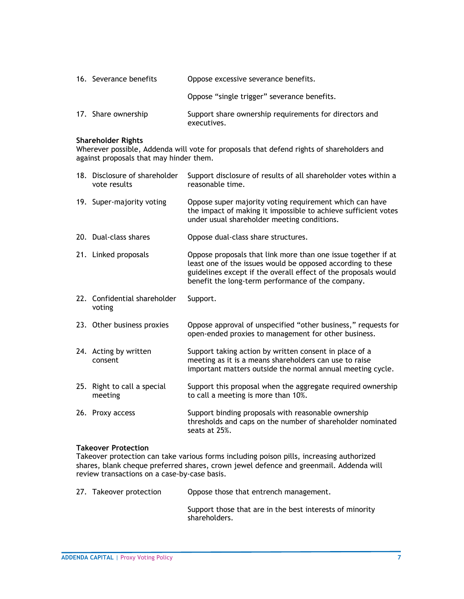| 16. Severance benefits | Oppose excessive severance benefits.                                  |
|------------------------|-----------------------------------------------------------------------|
|                        | Oppose "single trigger" severance benefits.                           |
| 17. Share ownership    | Support share ownership requirements for directors and<br>executives. |

#### **Shareholder Rights**

Wherever possible, Addenda will vote for proposals that defend rights of shareholders and against proposals that may hinder them.

|     | 18. Disclosure of shareholder<br>vote results | Support disclosure of results of all shareholder votes within a<br>reasonable time.                                                                                                                                                                 |
|-----|-----------------------------------------------|-----------------------------------------------------------------------------------------------------------------------------------------------------------------------------------------------------------------------------------------------------|
|     | 19. Super-majority voting                     | Oppose super majority voting requirement which can have<br>the impact of making it impossible to achieve sufficient votes<br>under usual shareholder meeting conditions.                                                                            |
|     | 20. Dual-class shares                         | Oppose dual-class share structures.                                                                                                                                                                                                                 |
|     | 21. Linked proposals                          | Oppose proposals that link more than one issue together if at<br>least one of the issues would be opposed according to these<br>guidelines except if the overall effect of the proposals would<br>benefit the long-term performance of the company. |
|     | 22. Confidential shareholder<br>voting        | Support.                                                                                                                                                                                                                                            |
|     | 23. Other business proxies                    | Oppose approval of unspecified "other business," requests for<br>open-ended proxies to management for other business.                                                                                                                               |
|     | 24. Acting by written<br>consent              | Support taking action by written consent in place of a<br>meeting as it is a means shareholders can use to raise<br>important matters outside the normal annual meeting cycle.                                                                      |
| 25. | Right to call a special<br>meeting            | Support this proposal when the aggregate required ownership<br>to call a meeting is more than 10%.                                                                                                                                                  |
|     | 26. Proxy access                              | Support binding proposals with reasonable ownership<br>thresholds and caps on the number of shareholder nominated<br>seats at 25%.                                                                                                                  |

#### **Takeover Protection**

Takeover protection can take various forms including poison pills, increasing authorized shares, blank cheque preferred shares, crown jewel defence and greenmail. Addenda will review transactions on a case-by-case basis.

| 27. Takeover protection | Oppose those that entrench management.                                    |
|-------------------------|---------------------------------------------------------------------------|
|                         | Support those that are in the best interests of minority<br>shareholders. |